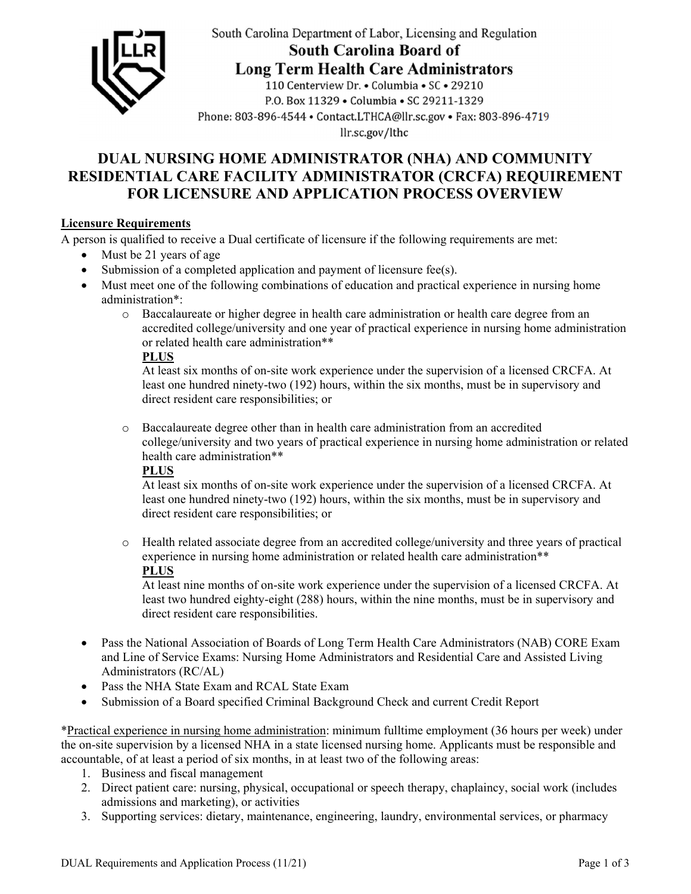

South Carolina Department of Labor, Licensing and Regulation **South Carolina Board of** 

**Long Term Health Care Administrators** 

110 Centerview Dr. • Columbia • SC • 29210 P.O. Box 11329 . Columbia . SC 29211-1329 Phone: 803-896-4544 • Contact.LTHCA@llr.sc.gov • Fax: 803-896-4719 llr.sc.gov/lthc

# **DUAL NURSING HOME ADMINISTRATOR (NHA) AND COMMUNITY RESIDENTIAL CARE FACILITY ADMINISTRATOR (CRCFA) REQUIREMENT FOR LICENSURE AND APPLICATION PROCESS OVERVIEW**

## **Licensure Requirements**

A person is qualified to receive a Dual certificate of licensure if the following requirements are met:

- Must be 21 years of age
- Submission of a completed application and payment of licensure fee(s).
- Must meet one of the following combinations of education and practical experience in nursing home administration\*:
	- o Baccalaureate or higher degree in health care administration or health care degree from an accredited college/university and one year of practical experience in nursing home administration or related health care administration\*\*

### **PLUS**

At least six months of on-site work experience under the supervision of a licensed CRCFA. At least one hundred ninety-two (192) hours, within the six months, must be in supervisory and direct resident care responsibilities; or

o Baccalaureate degree other than in health care administration from an accredited college/university and two years of practical experience in nursing home administration or related health care administration\*\*

# **PLUS**

At least six months of on-site work experience under the supervision of a licensed CRCFA. At least one hundred ninety-two (192) hours, within the six months, must be in supervisory and direct resident care responsibilities; or

o Health related associate degree from an accredited college/university and three years of practical experience in nursing home administration or related health care administration\*\* **PLUS** 

At least nine months of on-site work experience under the supervision of a licensed CRCFA. At least two hundred eighty-eight (288) hours, within the nine months, must be in supervisory and direct resident care responsibilities.

- Pass the National Association of Boards of Long Term Health Care Administrators (NAB) CORE Exam and Line of Service Exams: Nursing Home Administrators and Residential Care and Assisted Living Administrators (RC/AL)
- Pass the NHA State Exam and RCAL State Exam
- Submission of a Board specified Criminal Background Check and current Credit Report

\*Practical experience in nursing home administration: minimum fulltime employment (36 hours per week) under the on-site supervision by a licensed NHA in a state licensed nursing home. Applicants must be responsible and accountable, of at least a period of six months, in at least two of the following areas:

- 1. Business and fiscal management
- 2. Direct patient care: nursing, physical, occupational or speech therapy, chaplaincy, social work (includes admissions and marketing), or activities
- 3. Supporting services: dietary, maintenance, engineering, laundry, environmental services, or pharmacy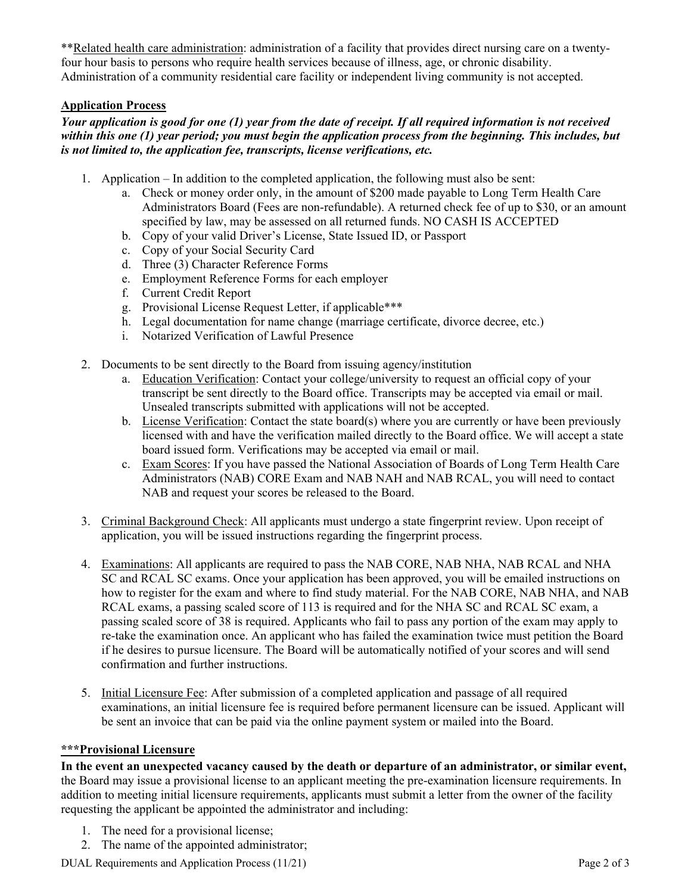\*\*Related health care administration: administration of a facility that provides direct nursing care on a twentyfour hour basis to persons who require health services because of illness, age, or chronic disability. Administration of a community residential care facility or independent living community is not accepted.

### **Application Process**

#### *Your application is good for one (1) year from the date of receipt. If all required information is not received within this one (1) year period; you must begin the application process from the beginning. This includes, but is not limited to, the application fee, transcripts, license verifications, etc.*

- 1. Application In addition to the completed application, the following must also be sent:
	- a. Check or money order only, in the amount of \$200 made payable to Long Term Health Care Administrators Board (Fees are non-refundable). A returned check fee of up to \$30, or an amount specified by law, may be assessed on all returned funds. NO CASH IS ACCEPTED
	- b. Copy of your valid Driver's License, State Issued ID, or Passport
	- c. Copy of your Social Security Card
	- d. Three (3) Character Reference Forms
	- e. Employment Reference Forms for each employer
	- f. Current Credit Report
	- g. Provisional License Request Letter, if applicable\*\*\*
	- h. Legal documentation for name change (marriage certificate, divorce decree, etc.)
	- i. Notarized Verification of Lawful Presence
- 2. Documents to be sent directly to the Board from issuing agency/institution
	- a. Education Verification: Contact your college/university to request an official copy of your transcript be sent directly to the Board office. Transcripts may be accepted via email or mail. Unsealed transcripts submitted with applications will not be accepted.
	- b. License Verification: Contact the state board(s) where you are currently or have been previously licensed with and have the verification mailed directly to the Board office. We will accept a state board issued form. Verifications may be accepted via email or mail.
	- c. Exam Scores: If you have passed the National Association of Boards of Long Term Health Care Administrators (NAB) CORE Exam and NAB NAH and NAB RCAL, you will need to contact NAB and request your scores be released to the Board.
- 3. Criminal Background Check: All applicants must undergo a state fingerprint review. Upon receipt of application, you will be issued instructions regarding the fingerprint process.
- 4. Examinations: All applicants are required to pass the NAB CORE, NAB NHA, NAB RCAL and NHA SC and RCAL SC exams. Once your application has been approved, you will be emailed instructions on how to register for the exam and where to find study material. For the NAB CORE, NAB NHA, and NAB RCAL exams, a passing scaled score of 113 is required and for the NHA SC and RCAL SC exam, a passing scaled score of 38 is required. Applicants who fail to pass any portion of the exam may apply to re-take the examination once. An applicant who has failed the examination twice must petition the Board if he desires to pursue licensure. The Board will be automatically notified of your scores and will send confirmation and further instructions.
- 5. Initial Licensure Fee: After submission of a completed application and passage of all required examinations, an initial licensure fee is required before permanent licensure can be issued. Applicant will be sent an invoice that can be paid via the online payment system or mailed into the Board.

#### **\*\*\*Provisional Licensure**

**In the event an unexpected vacancy caused by the death or departure of an administrator, or similar event,** the Board may issue a provisional license to an applicant meeting the pre-examination licensure requirements. In addition to meeting initial licensure requirements, applicants must submit a letter from the owner of the facility requesting the applicant be appointed the administrator and including:

- 1. The need for a provisional license;
- 2. The name of the appointed administrator;

DUAL Requirements and Application Process (11/21) Page 2 of 3